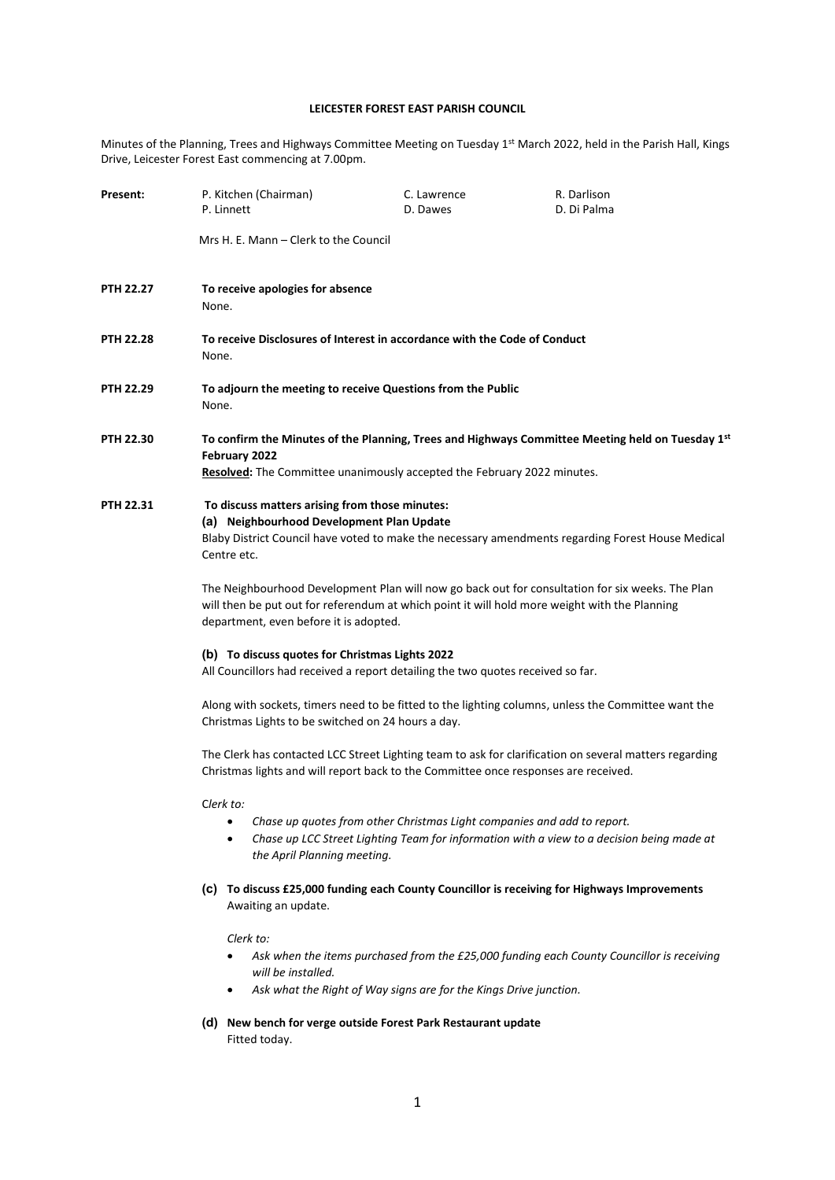## **LEICESTER FOREST EAST PARISH COUNCIL**

Minutes of the Planning, Trees and Highways Committee Meeting on Tuesday 1<sup>st</sup> March 2022, held in the Parish Hall, Kings Drive, Leicester Forest East commencing at 7.00pm.

| Present:  | P. Kitchen (Chairman)<br>P. Linnett                                                                                                                                                                                                         | C. Lawrence<br>D. Dawes                                                 | R. Darlison<br>D. Di Palma                                                                   |  |
|-----------|---------------------------------------------------------------------------------------------------------------------------------------------------------------------------------------------------------------------------------------------|-------------------------------------------------------------------------|----------------------------------------------------------------------------------------------|--|
|           | Mrs H. E. Mann – Clerk to the Council                                                                                                                                                                                                       |                                                                         |                                                                                              |  |
| PTH 22.27 | To receive apologies for absence<br>None.                                                                                                                                                                                                   |                                                                         |                                                                                              |  |
| PTH 22.28 | To receive Disclosures of Interest in accordance with the Code of Conduct<br>None.                                                                                                                                                          |                                                                         |                                                                                              |  |
| PTH 22.29 | To adjourn the meeting to receive Questions from the Public<br>None.                                                                                                                                                                        |                                                                         |                                                                                              |  |
| PTH 22.30 | To confirm the Minutes of the Planning, Trees and Highways Committee Meeting held on Tuesday 1 <sup>st</sup><br>February 2022<br>Resolved: The Committee unanimously accepted the February 2022 minutes.                                    |                                                                         |                                                                                              |  |
| PTH 22.31 | To discuss matters arising from those minutes:<br>(a) Neighbourhood Development Plan Update<br>Blaby District Council have voted to make the necessary amendments regarding Forest House Medical<br>Centre etc.                             |                                                                         |                                                                                              |  |
|           | The Neighbourhood Development Plan will now go back out for consultation for six weeks. The Plan<br>will then be put out for referendum at which point it will hold more weight with the Planning<br>department, even before it is adopted. |                                                                         |                                                                                              |  |
|           | (b) To discuss quotes for Christmas Lights 2022<br>All Councillors had received a report detailing the two quotes received so far.                                                                                                          |                                                                         |                                                                                              |  |
|           | Along with sockets, timers need to be fitted to the lighting columns, unless the Committee want the<br>Christmas Lights to be switched on 24 hours a day.                                                                                   |                                                                         |                                                                                              |  |
|           | The Clerk has contacted LCC Street Lighting team to ask for clarification on several matters regarding<br>Christmas lights and will report back to the Committee once responses are received.                                               |                                                                         |                                                                                              |  |
|           | Clerk to:<br>the April Planning meeting.                                                                                                                                                                                                    | Chase up quotes from other Christmas Light companies and add to report. | Chase up LCC Street Lighting Team for information with a view to a decision being made at    |  |
|           | Awaiting an update.                                                                                                                                                                                                                         |                                                                         | (c) To discuss £25,000 funding each County Councillor is receiving for Highways Improvements |  |
|           | Clerk to:<br>will be installed.                                                                                                                                                                                                             | Ask what the Right of Way signs are for the Kings Drive junction.       | Ask when the items purchased from the £25,000 funding each County Councillor is receiving    |  |
|           | Fitted today.                                                                                                                                                                                                                               | (d) New bench for verge outside Forest Park Restaurant update           |                                                                                              |  |
|           |                                                                                                                                                                                                                                             |                                                                         |                                                                                              |  |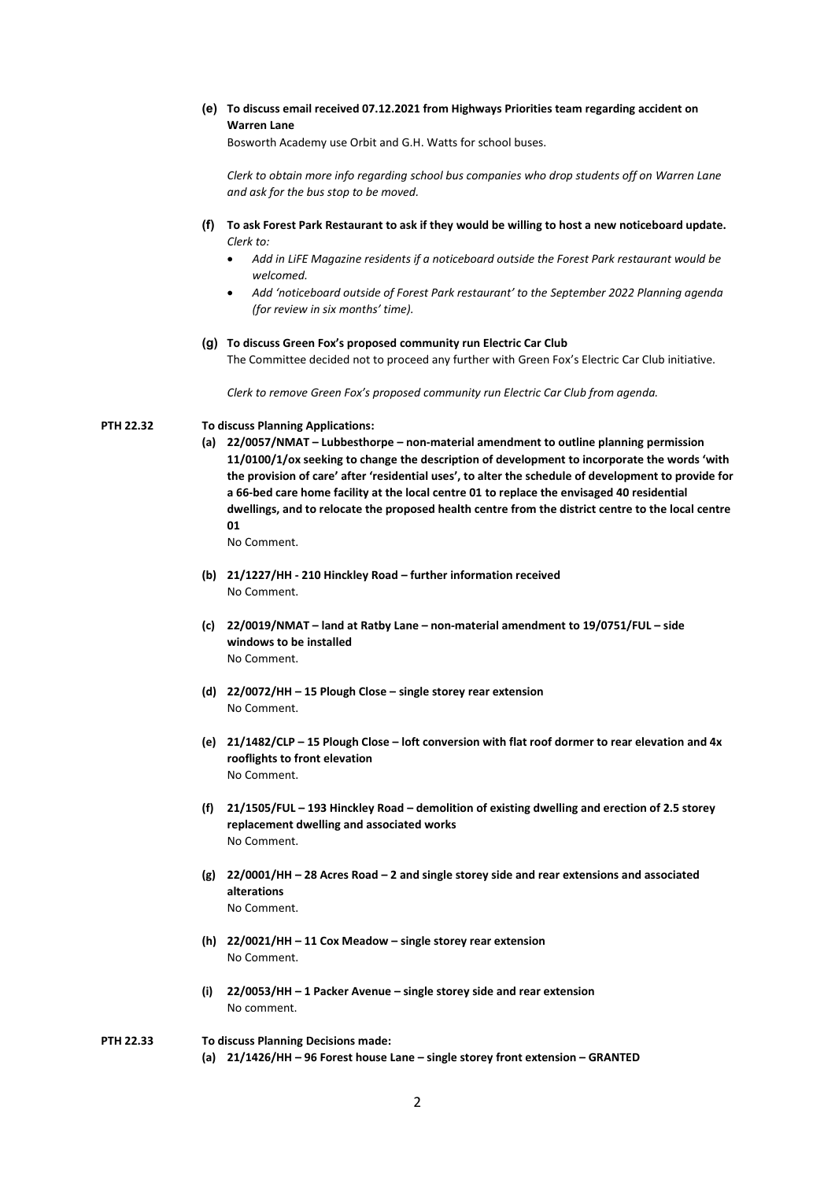## **(e) To discuss email received 07.12.2021 from Highways Priorities team regarding accident on Warren Lane**

Bosworth Academy use Orbit and G.H. Watts for school buses.

*Clerk to obtain more info regarding school bus companies who drop students off on Warren Lane and ask for the bus stop to be moved.*

- **(f) To ask Forest Park Restaurant to ask if they would be willing to host a new noticeboard update.** *Clerk to:*
	- *Add in LiFE Magazine residents if a noticeboard outside the Forest Park restaurant would be welcomed.*
	- *Add 'noticeboard outside of Forest Park restaurant' to the September 2022 Planning agenda (for review in six months' time).*

## **(g) To discuss Green Fox's proposed community run Electric Car Club**

The Committee decided not to proceed any further with Green Fox's Electric Car Club initiative.

*Clerk to remove Green Fox's proposed community run Electric Car Club from agenda.*

## **PTH 22.32 To discuss Planning Applications:**

**(a) 22/0057/NMAT – Lubbesthorpe – non-material amendment to outline planning permission 11/0100/1/ox seeking to change the description of development to incorporate the words 'with the provision of care' after 'residential uses', to alter the schedule of development to provide for a 66-bed care home facility at the local centre 01 to replace the envisaged 40 residential dwellings, and to relocate the proposed health centre from the district centre to the local centre 01**

No Comment.

- **(b) 21/1227/HH - 210 Hinckley Road – further information received** No Comment.
- **(c) 22/0019/NMAT – land at Ratby Lane – non-material amendment to 19/0751/FUL – side windows to be installed** No Comment.
- **(d) 22/0072/HH – 15 Plough Close – single storey rear extension** No Comment.
- **(e) 21/1482/CLP – 15 Plough Close – loft conversion with flat roof dormer to rear elevation and 4x rooflights to front elevation** No Comment.
- **(f) 21/1505/FUL – 193 Hinckley Road – demolition of existing dwelling and erection of 2.5 storey replacement dwelling and associated works** No Comment.
- **(g) 22/0001/HH – 28 Acres Road – 2 and single storey side and rear extensions and associated alterations** No Comment.
- **(h) 22/0021/HH – 11 Cox Meadow – single storey rear extension** No Comment.
- **(i) 22/0053/HH – 1 Packer Avenue – single storey side and rear extension** No comment.
- **PTH 22.33 To discuss Planning Decisions made: (a) 21/1426/HH – 96 Forest house Lane – single storey front extension – GRANTED**